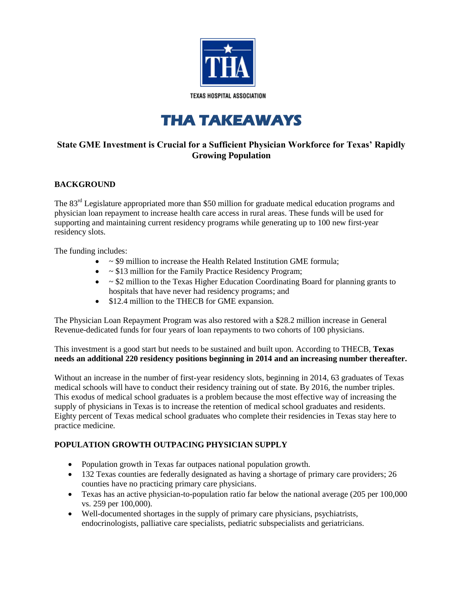



# **State GME Investment is Crucial for a Sufficient Physician Workforce for Texas' Rapidly Growing Population**

### **BACKGROUND**

The 83<sup>rd</sup> Legislature appropriated more than \$50 million for graduate medical education programs and physician loan repayment to increase health care access in rural areas. These funds will be used for supporting and maintaining current residency programs while generating up to 100 new first-year residency slots.

The funding includes:

- $\bullet$   $\sim$  \$9 million to increase the Health Related Institution GME formula;
- $\bullet$   $\sim$  \$13 million for the Family Practice Residency Program;
- $\sim$  \$2 million to the Texas Higher Education Coordinating Board for planning grants to hospitals that have never had residency programs; and
- \$12.4 million to the THECB for GME expansion.

The Physician Loan Repayment Program was also restored with a \$28.2 million increase in General Revenue-dedicated funds for four years of loan repayments to two cohorts of 100 physicians.

This investment is a good start but needs to be sustained and built upon. According to THECB, **Texas needs an additional 220 residency positions beginning in 2014 and an increasing number thereafter.**

Without an increase in the number of first-year residency slots, beginning in 2014, 63 graduates of Texas medical schools will have to conduct their residency training out of state. By 2016, the number triples. This exodus of medical school graduates is a problem because the most effective way of increasing the supply of physicians in Texas is to increase the retention of medical school graduates and residents. Eighty percent of Texas medical school graduates who complete their residencies in Texas stay here to practice medicine.

## **POPULATION GROWTH OUTPACING PHYSICIAN SUPPLY**

- Population growth in Texas far outpaces national population growth.
- 132 Texas counties are federally designated as having a shortage of primary care providers; 26 counties have no practicing primary care physicians.
- Texas has an active physician-to-population ratio far below the national average (205 per 100,000 vs. 259 per 100,000).
- Well-documented shortages in the supply of primary care physicians, psychiatrists, endocrinologists, palliative care specialists, pediatric subspecialists and geriatricians.